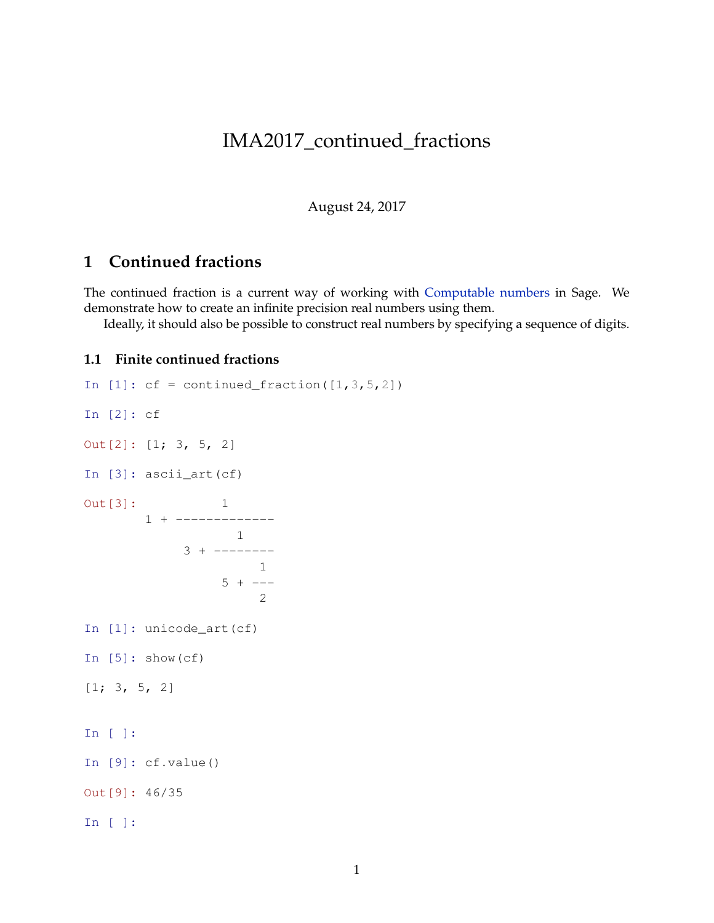# IMA2017\_continued\_fractions

August 24, 2017

## **1 Continued fractions**

The continued fraction is a current way of working with [Computable numbers](https://en.wikipedia.org/wiki/Computable_number) in Sage. We demonstrate how to create an infinite precision real numbers using them.

Ideally, it should also be possible to construct real numbers by specifying a sequence of digits.

#### **1.1 Finite continued fractions**

In  $[1]: cf = continued_fraction([1,3,5,2])$ In [2]: cf Out[2]: [1; 3, 5, 2] In [3]: ascii\_art(cf) Out [3]: 1 1 + ------------- 1  $3 + - - - - - - - -$ 1  $5 + -- \overline{2}$ In [1]: unicode\_art(cf) In  $[5]$ : show(cf)  $[1; 3, 5, 2]$ In [ ]: In [9]: cf.value() Out[9]: 46/35 In [ ]: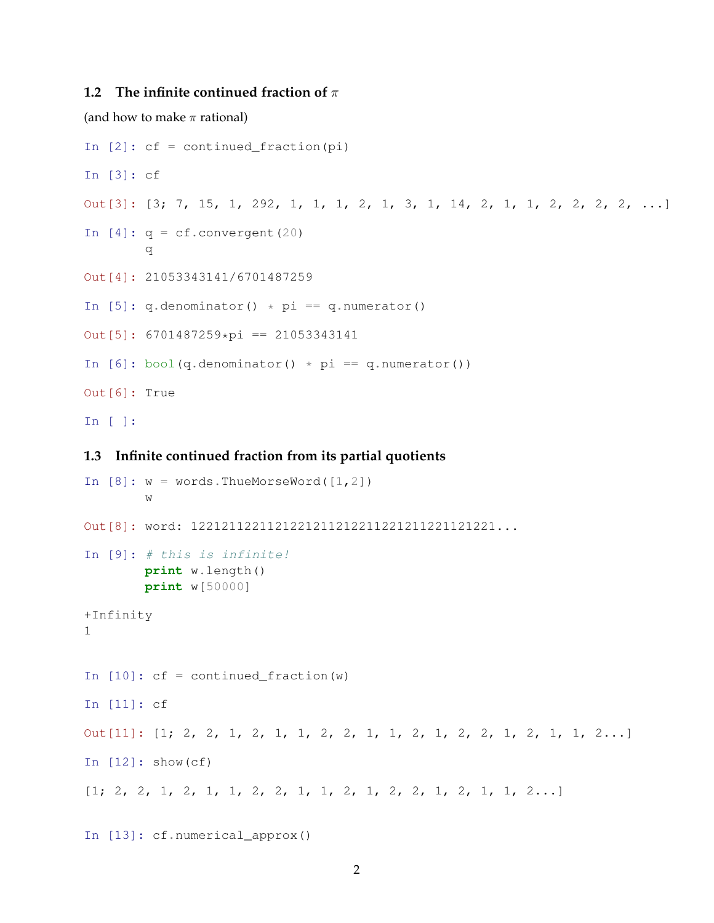### **1.2 The infinite continued fraction of** π

(and how to make  $\pi$  rational)

```
In [2]: cf = continued_fraction(pi)
In [3]: cf
Out[3]: [3; 7, 15, 1, 292, 1, 1, 1, 2, 1, 3, 1, 14, 2, 1, 1, 2, 2, 2, 2, ...]
In [4]: q = cf.convergent(20)q
Out[4]: 21053343141/6701487259
In [5]: q.denominator() * pi == q.numerator()
Out[5]: 6701487259*pi == 21053343141
In [6]: bool(q.denominator() * pi == q.numerator())
Out[6]: True
In [ ]:
```
#### **1.3 Infinite continued fraction from its partial quotients**

```
In [8]: w = words.ThueMorseWord([1, 2])
        w
Out[8]: word: 1221211221121221211212211221211221121221...
In [9]: # this is infinite!
       print w.length()
       print w[50000]
+Infinity
1
In [10]: cf = continued_fraction(w)
In [11]: cf
Out[11]: [1; 2, 2, 1, 2, 1, 1, 2, 2, 1, 1, 2, 1, 2, 2, 1, 2, 1, 1, 2...]
In [12]: show(cf)
[1; 2, 2, 1, 2, 1, 1, 2, 2, 1, 1, 2, 1, 2, 2, 1, 2, 1, 1, 2...]
```

```
In [13]: cf.numerical_approx()
```